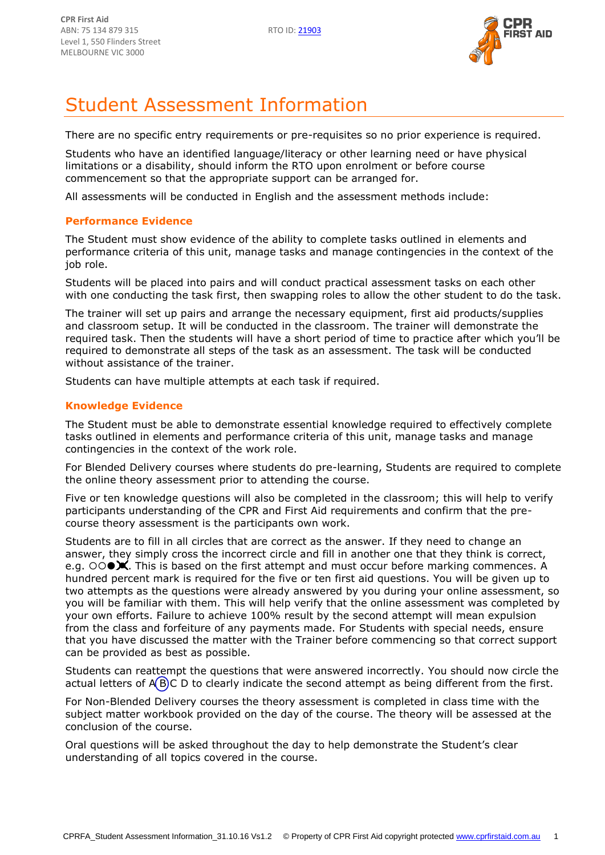

# Student Assessment Information

There are no specific entry requirements or pre-requisites so no prior experience is required.

Students who have an identified language/literacy or other learning need or have physical limitations or a disability, should inform the RTO upon enrolment or before course commencement so that the appropriate support can be arranged for.

All assessments will be conducted in English and the assessment methods include:

#### **Performance Evidence**

The Student must show evidence of the ability to complete tasks outlined in elements and performance criteria of this unit, manage tasks and manage contingencies in the context of the job role.

Students will be placed into pairs and will conduct practical assessment tasks on each other with one conducting the task first, then swapping roles to allow the other student to do the task.

The trainer will set up pairs and arrange the necessary equipment, first aid products/supplies and classroom setup. It will be conducted in the classroom. The trainer will demonstrate the required task. Then the students will have a short period of time to practice after which you'll be required to demonstrate all steps of the task as an assessment. The task will be conducted without assistance of the trainer.

Students can have multiple attempts at each task if required.

#### **Knowledge Evidence**

The Student must be able to demonstrate essential knowledge required to effectively complete tasks outlined in elements and performance criteria of this unit, manage tasks and manage contingencies in the context of the work role.

For Blended Delivery courses where students do pre-learning, Students are required to complete the online theory assessment prior to attending the course.

Five or ten knowledge questions will also be completed in the classroom; this will help to verify participants understanding of the CPR and First Aid requirements and confirm that the precourse theory assessment is the participants own work.

Students are to fill in all circles that are correct as the answer. If they need to change an answer, they simply cross the incorrect circle and fill in another one that they think is correct, e.g.  $\circ$   $\circ$   $\bullet$   $\mathbb X$ . This is based on the first attempt and must occur before marking commences. A hundred percent mark is required for the five or ten first aid questions. You will be given up to two attempts as the questions were already answered by you during your online assessment, so you will be familiar with them. This will help verify that the online assessment was completed by your own efforts. Failure to achieve 100% result by the second attempt will mean expulsion from the class and forfeiture of any payments made. For Students with special needs, ensure that you have discussed the matter with the Trainer before commencing so that correct support can be provided as best as possible.

Students can reattempt the questions that were answered incorrectly. You should now circle the actual letters of  $\overline{A(B)}C$  D to clearly indicate the second attempt as being different from the first.

For Non-Blended Delivery courses the theory assessment is completed in class time with the subject matter workbook provided on the day of the course. The theory will be assessed at the conclusion of the course.

Oral questions will be asked throughout the day to help demonstrate the Student's clear understanding of all topics covered in the course.